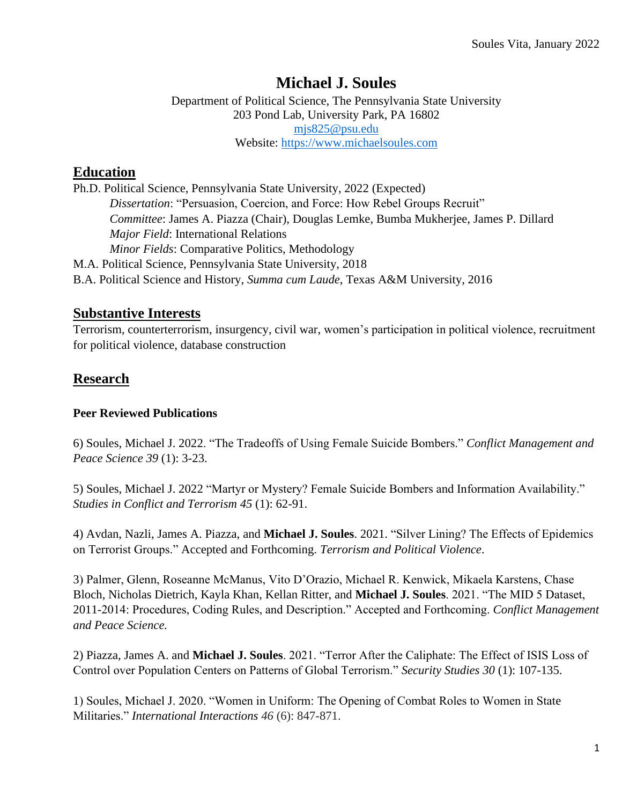# **Michael J. Soules**

Department of Political Science, The Pennsylvania State University 203 Pond Lab, University Park, PA 16802 [mjs825@psu.edu](mailto:mjs825@psu.edu) Website: [https://www.michaelsoules.com](https://www.michaelsoules.com/)

# **Education**

Ph.D. Political Science, Pennsylvania State University, 2022 (Expected) *Dissertation*: "Persuasion, Coercion, and Force: How Rebel Groups Recruit" *Committee*: James A. Piazza (Chair), Douglas Lemke, Bumba Mukherjee, James P. Dillard *Major Field*: International Relations *Minor Fields*: Comparative Politics, Methodology M.A. Political Science, Pennsylvania State University, 2018 B.A. Political Science and History, *Summa cum Laude*, Texas A&M University, 2016

### **Substantive Interests**

Terrorism, counterterrorism, insurgency, civil war, women's participation in political violence, recruitment for political violence, database construction

# **Research**

### **Peer Reviewed Publications**

6) Soules, Michael J. 2022. "The Tradeoffs of Using Female Suicide Bombers." *Conflict Management and Peace Science 39* (1): 3-23.

5) Soules, Michael J. 2022 "Martyr or Mystery? Female Suicide Bombers and Information Availability." *Studies in Conflict and Terrorism 45* (1): 62-91.

4) Avdan, Nazli, James A. Piazza, and **Michael J. Soules**. 2021. "Silver Lining? The Effects of Epidemics on Terrorist Groups." Accepted and Forthcoming. *Terrorism and Political Violence*.

3) Palmer, Glenn, Roseanne McManus, Vito D'Orazio, Michael R. Kenwick, Mikaela Karstens, Chase Bloch, Nicholas Dietrich, Kayla Khan, Kellan Ritter, and **Michael J. Soules**. 2021. "The MID 5 Dataset, 2011-2014: Procedures, Coding Rules, and Description." Accepted and Forthcoming. *Conflict Management and Peace Science.*

2) Piazza, James A. and **Michael J. Soules**. 2021. "Terror After the Caliphate: The Effect of ISIS Loss of Control over Population Centers on Patterns of Global Terrorism." *Security Studies 30* (1): 107-135.

1) Soules, Michael J. 2020. "Women in Uniform: The Opening of Combat Roles to Women in State Militaries." *International Interactions 46* (6): 847-871.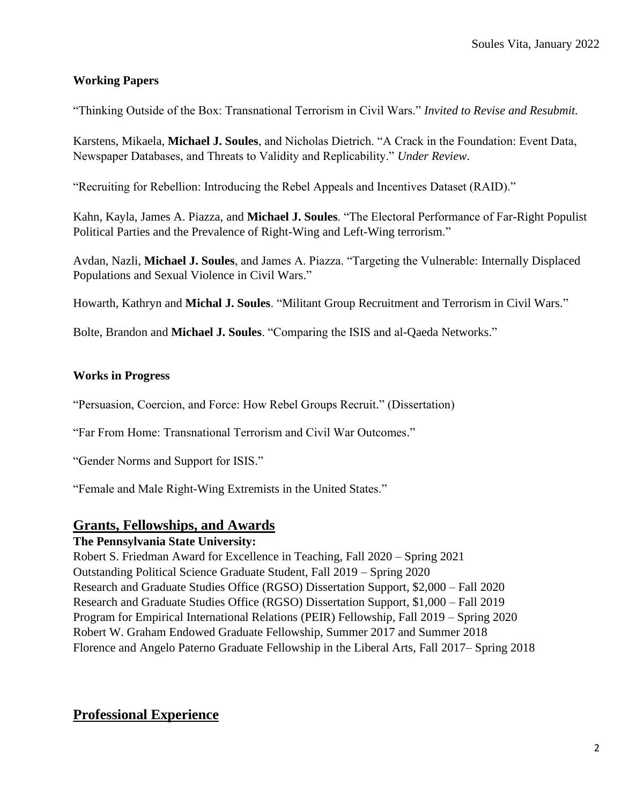### **Working Papers**

"Thinking Outside of the Box: Transnational Terrorism in Civil Wars." *Invited to Revise and Resubmit.*

Karstens, Mikaela, **Michael J. Soules**, and Nicholas Dietrich. "A Crack in the Foundation: Event Data, Newspaper Databases, and Threats to Validity and Replicability." *Under Review*.

"Recruiting for Rebellion: Introducing the Rebel Appeals and Incentives Dataset (RAID)."

Kahn, Kayla, James A. Piazza, and **Michael J. Soules**. "The Electoral Performance of Far-Right Populist Political Parties and the Prevalence of Right-Wing and Left-Wing terrorism."

Avdan, Nazli, **Michael J. Soules**, and James A. Piazza. "Targeting the Vulnerable: Internally Displaced Populations and Sexual Violence in Civil Wars."

Howarth, Kathryn and **Michal J. Soules**. "Militant Group Recruitment and Terrorism in Civil Wars."

Bolte, Brandon and **Michael J. Soules**. "Comparing the ISIS and al-Qaeda Networks."

#### **Works in Progress**

"Persuasion, Coercion, and Force: How Rebel Groups Recruit." (Dissertation)

"Far From Home: Transnational Terrorism and Civil War Outcomes."

"Gender Norms and Support for ISIS."

"Female and Male Right-Wing Extremists in the United States."

### **Grants, Fellowships, and Awards**

#### **The Pennsylvania State University:**

Robert S. Friedman Award for Excellence in Teaching, Fall 2020 – Spring 2021 Outstanding Political Science Graduate Student, Fall 2019 – Spring 2020 Research and Graduate Studies Office (RGSO) Dissertation Support, \$2,000 – Fall 2020 Research and Graduate Studies Office (RGSO) Dissertation Support, \$1,000 – Fall 2019 Program for Empirical International Relations (PEIR) Fellowship, Fall 2019 – Spring 2020 Robert W. Graham Endowed Graduate Fellowship, Summer 2017 and Summer 2018 Florence and Angelo Paterno Graduate Fellowship in the Liberal Arts, Fall 2017– Spring 2018

### **Professional Experience**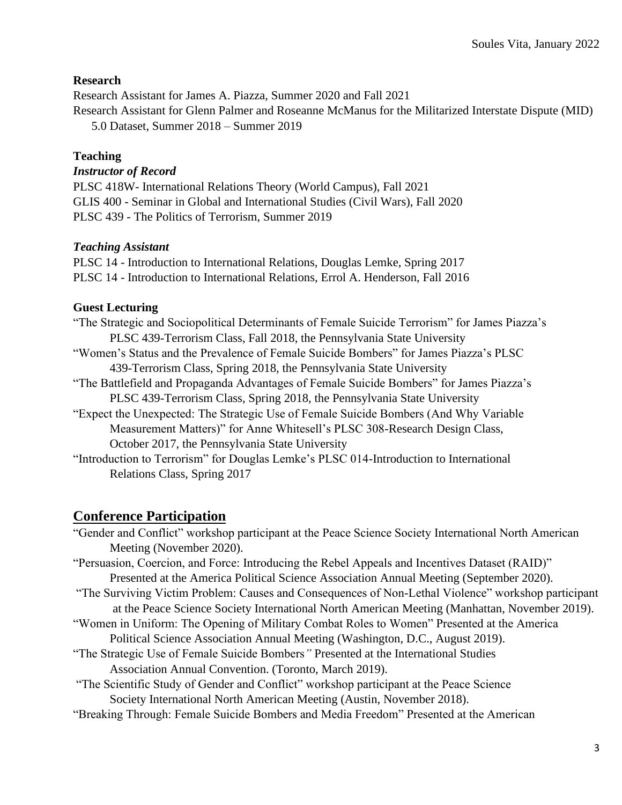### **Research**

Research Assistant for James A. Piazza, Summer 2020 and Fall 2021 Research Assistant for Glenn Palmer and Roseanne McManus for the Militarized Interstate Dispute (MID) 5.0 Dataset, Summer 2018 – Summer 2019

#### **Teaching**

### *Instructor of Record*

PLSC 418W- International Relations Theory (World Campus), Fall 2021 GLIS 400 - Seminar in Global and International Studies (Civil Wars), Fall 2020 PLSC 439 - The Politics of Terrorism, Summer 2019

#### *Teaching Assistant*

PLSC 14 - Introduction to International Relations, Douglas Lemke, Spring 2017 PLSC 14 - Introduction to International Relations, Errol A. Henderson, Fall 2016

### **Guest Lecturing**

"The Strategic and Sociopolitical Determinants of Female Suicide Terrorism" for James Piazza's PLSC 439-Terrorism Class, Fall 2018, the Pennsylvania State University "Women's Status and the Prevalence of Female Suicide Bombers" for James Piazza's PLSC 439-Terrorism Class, Spring 2018, the Pennsylvania State University "The Battlefield and Propaganda Advantages of Female Suicide Bombers" for James Piazza's PLSC 439-Terrorism Class, Spring 2018, the Pennsylvania State University "Expect the Unexpected: The Strategic Use of Female Suicide Bombers (And Why Variable

Measurement Matters)" for Anne Whitesell's PLSC 308-Research Design Class, October 2017, the Pennsylvania State University

"Introduction to Terrorism" for Douglas Lemke's PLSC 014-Introduction to International Relations Class, Spring 2017

### **Conference Participation**

"Gender and Conflict" workshop participant at the Peace Science Society International North American Meeting (November 2020).

"Persuasion, Coercion, and Force: Introducing the Rebel Appeals and Incentives Dataset (RAID)" Presented at the America Political Science Association Annual Meeting (September 2020).

- "The Surviving Victim Problem: Causes and Consequences of Non-Lethal Violence" workshop participant at the Peace Science Society International North American Meeting (Manhattan, November 2019).
- "Women in Uniform: The Opening of Military Combat Roles to Women" Presented at the America Political Science Association Annual Meeting (Washington, D.C., August 2019).
- "The Strategic Use of Female Suicide Bombers*"* Presented at the International Studies
	- Association Annual Convention. (Toronto, March 2019).

"The Scientific Study of Gender and Conflict" workshop participant at the Peace Science

- Society International North American Meeting (Austin, November 2018).
- "Breaking Through: Female Suicide Bombers and Media Freedom" Presented at the American